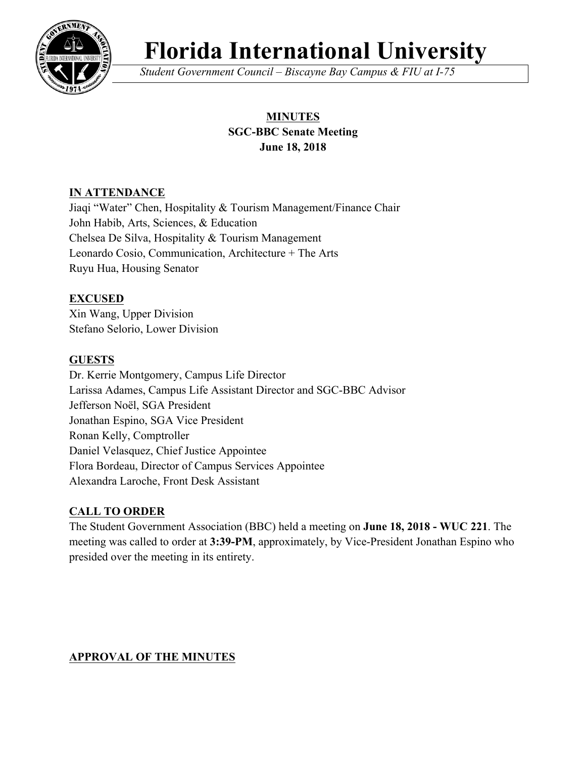

# **Florida International University**

*Student Government Council – Biscayne Bay Campus & FIU at I-75*

# **MINUTES SGC-BBC Senate Meeting June 18, 2018**

## **IN ATTENDANCE**

Jiaqi "Water" Chen, Hospitality & Tourism Management/Finance Chair John Habib, Arts, Sciences, & Education Chelsea De Silva, Hospitality & Tourism Management Leonardo Cosio, Communication, Architecture + The Arts Ruyu Hua, Housing Senator

# **EXCUSED**

Xin Wang, Upper Division Stefano Selorio, Lower Division

# **GUESTS**

Dr. Kerrie Montgomery, Campus Life Director Larissa Adames, Campus Life Assistant Director and SGC-BBC Advisor Jefferson Noël, SGA President Jonathan Espino, SGA Vice President Ronan Kelly, Comptroller Daniel Velasquez, Chief Justice Appointee Flora Bordeau, Director of Campus Services Appointee Alexandra Laroche, Front Desk Assistant

# **CALL TO ORDER**

The Student Government Association (BBC) held a meeting on **June 18, 2018 - WUC 221**. The meeting was called to order at **3:39-PM**, approximately, by Vice-President Jonathan Espino who presided over the meeting in its entirety.

# **APPROVAL OF THE MINUTES**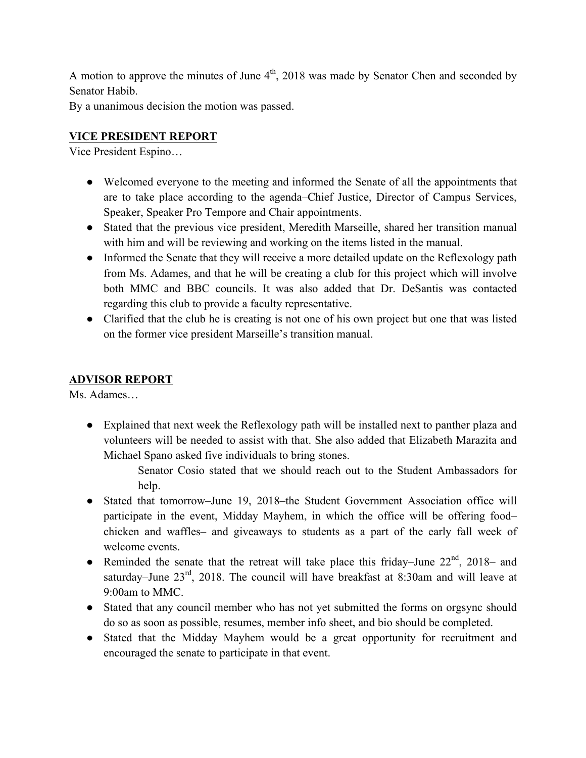A motion to approve the minutes of June  $4<sup>th</sup>$ , 2018 was made by Senator Chen and seconded by Senator Habib.

By a unanimous decision the motion was passed.

# **VICE PRESIDENT REPORT**

Vice President Espino…

- Welcomed everyone to the meeting and informed the Senate of all the appointments that are to take place according to the agenda–Chief Justice, Director of Campus Services, Speaker, Speaker Pro Tempore and Chair appointments.
- Stated that the previous vice president, Meredith Marseille, shared her transition manual with him and will be reviewing and working on the items listed in the manual.
- Informed the Senate that they will receive a more detailed update on the Reflexology path from Ms. Adames, and that he will be creating a club for this project which will involve both MMC and BBC councils. It was also added that Dr. DeSantis was contacted regarding this club to provide a faculty representative.
- Clarified that the club he is creating is not one of his own project but one that was listed on the former vice president Marseille's transition manual.

## **ADVISOR REPORT**

Ms. Adames…

● Explained that next week the Reflexology path will be installed next to panther plaza and volunteers will be needed to assist with that. She also added that Elizabeth Marazita and Michael Spano asked five individuals to bring stones.

> Senator Cosio stated that we should reach out to the Student Ambassadors for help.

- Stated that tomorrow–June 19, 2018–the Student Government Association office will participate in the event, Midday Mayhem, in which the office will be offering food– chicken and waffles– and giveaways to students as a part of the early fall week of welcome events.
- Reminded the senate that the retreat will take place this friday–June  $22<sup>nd</sup>$ ,  $2018$  and saturday–June  $23<sup>rd</sup>$ , 2018. The council will have breakfast at 8:30am and will leave at 9:00am to MMC.
- Stated that any council member who has not yet submitted the forms on orgsync should do so as soon as possible, resumes, member info sheet, and bio should be completed.
- Stated that the Midday Mayhem would be a great opportunity for recruitment and encouraged the senate to participate in that event.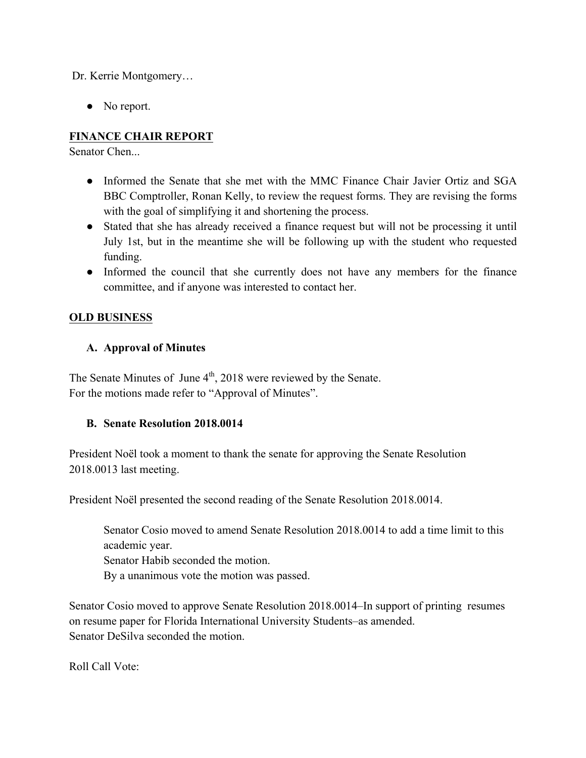Dr. Kerrie Montgomery…

• No report.

# **FINANCE CHAIR REPORT**

Senator Chen...

- Informed the Senate that she met with the MMC Finance Chair Javier Ortiz and SGA BBC Comptroller, Ronan Kelly, to review the request forms. They are revising the forms with the goal of simplifying it and shortening the process.
- Stated that she has already received a finance request but will not be processing it until July 1st, but in the meantime she will be following up with the student who requested funding.
- Informed the council that she currently does not have any members for the finance committee, and if anyone was interested to contact her.

## **OLD BUSINESS**

## **A. Approval of Minutes**

The Senate Minutes of June 4<sup>th</sup>, 2018 were reviewed by the Senate. For the motions made refer to "Approval of Minutes".

## **B. Senate Resolution 2018.0014**

President Noël took a moment to thank the senate for approving the Senate Resolution 2018.0013 last meeting.

President Noël presented the second reading of the Senate Resolution 2018.0014.

Senator Cosio moved to amend Senate Resolution 2018.0014 to add a time limit to this academic year.

Senator Habib seconded the motion.

By a unanimous vote the motion was passed.

Senator Cosio moved to approve Senate Resolution 2018.0014–In support of printing resumes on resume paper for Florida International University Students–as amended. Senator DeSilva seconded the motion.

Roll Call Vote: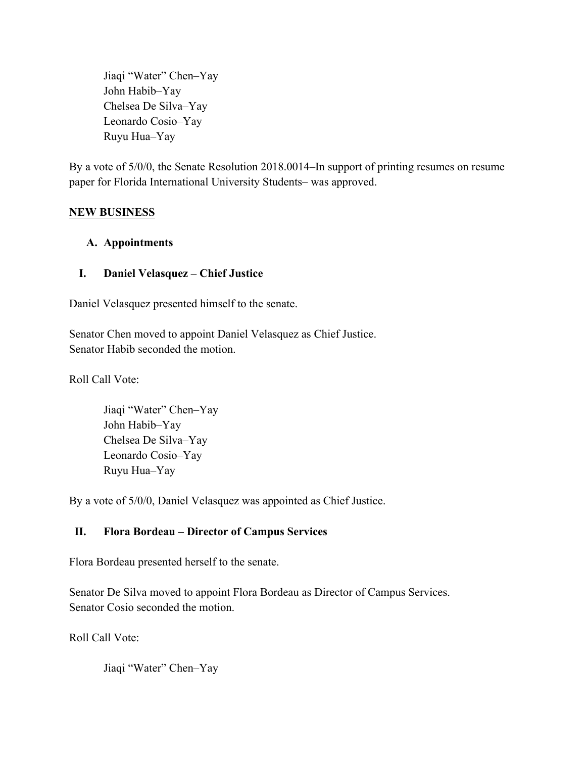Jiaqi "Water" Chen–Yay John Habib–Yay Chelsea De Silva–Yay Leonardo Cosio–Yay Ruyu Hua–Yay

By a vote of 5/0/0, the Senate Resolution 2018.0014–In support of printing resumes on resume paper for Florida International University Students– was approved.

## **NEW BUSINESS**

#### **A. Appointments**

#### **I. Daniel Velasquez – Chief Justice**

Daniel Velasquez presented himself to the senate.

Senator Chen moved to appoint Daniel Velasquez as Chief Justice. Senator Habib seconded the motion.

Roll Call Vote:

Jiaqi "Water" Chen–Yay John Habib–Yay Chelsea De Silva–Yay Leonardo Cosio–Yay Ruyu Hua–Yay

By a vote of 5/0/0, Daniel Velasquez was appointed as Chief Justice.

## **II. Flora Bordeau – Director of Campus Services**

Flora Bordeau presented herself to the senate.

Senator De Silva moved to appoint Flora Bordeau as Director of Campus Services. Senator Cosio seconded the motion.

Roll Call Vote:

Jiaqi "Water" Chen–Yay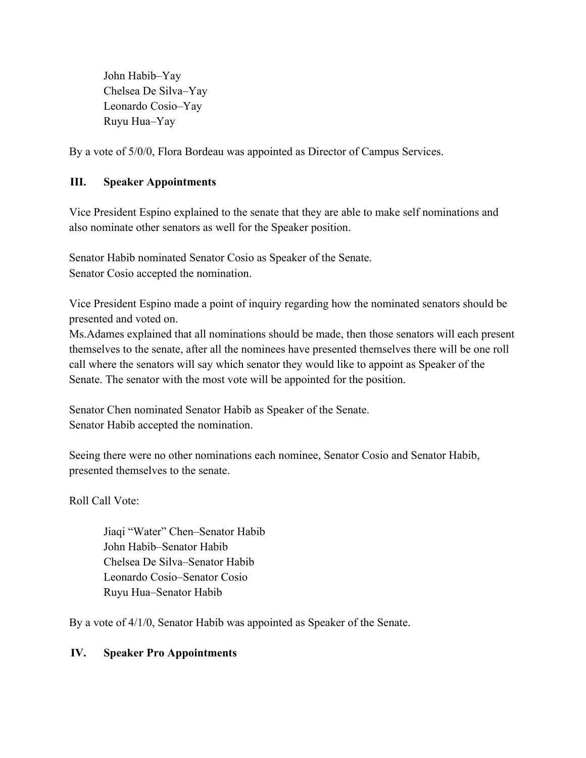John Habib–Yay Chelsea De Silva–Yay Leonardo Cosio–Yay Ruyu Hua–Yay

By a vote of 5/0/0, Flora Bordeau was appointed as Director of Campus Services.

#### **III. Speaker Appointments**

Vice President Espino explained to the senate that they are able to make self nominations and also nominate other senators as well for the Speaker position.

Senator Habib nominated Senator Cosio as Speaker of the Senate. Senator Cosio accepted the nomination.

Vice President Espino made a point of inquiry regarding how the nominated senators should be presented and voted on.

Ms.Adames explained that all nominations should be made, then those senators will each present themselves to the senate, after all the nominees have presented themselves there will be one roll call where the senators will say which senator they would like to appoint as Speaker of the Senate. The senator with the most vote will be appointed for the position.

Senator Chen nominated Senator Habib as Speaker of the Senate. Senator Habib accepted the nomination.

Seeing there were no other nominations each nominee, Senator Cosio and Senator Habib, presented themselves to the senate.

Roll Call Vote:

Jiaqi "Water" Chen–Senator Habib John Habib–Senator Habib Chelsea De Silva–Senator Habib Leonardo Cosio–Senator Cosio Ruyu Hua–Senator Habib

By a vote of 4/1/0, Senator Habib was appointed as Speaker of the Senate.

#### **IV. Speaker Pro Appointments**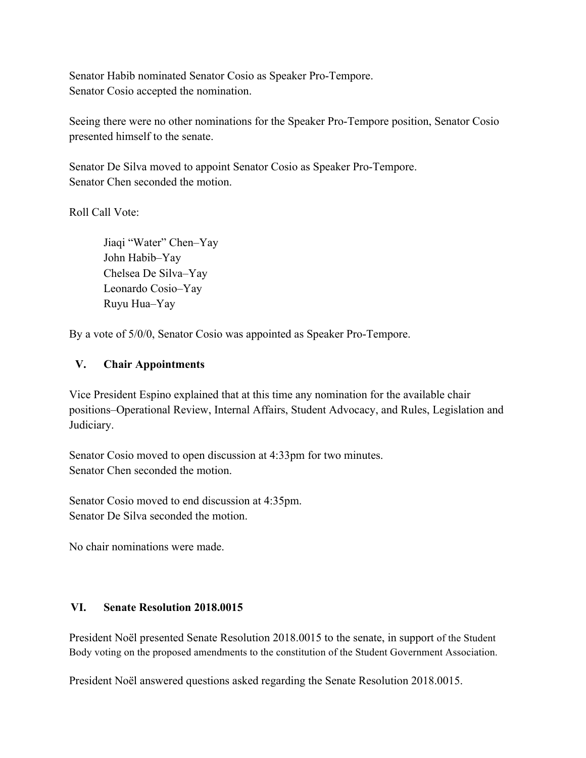Senator Habib nominated Senator Cosio as Speaker Pro-Tempore. Senator Cosio accepted the nomination.

Seeing there were no other nominations for the Speaker Pro-Tempore position, Senator Cosio presented himself to the senate.

Senator De Silva moved to appoint Senator Cosio as Speaker Pro-Tempore. Senator Chen seconded the motion.

Roll Call Vote:

Jiaqi "Water" Chen–Yay John Habib–Yay Chelsea De Silva–Yay Leonardo Cosio–Yay Ruyu Hua–Yay

By a vote of 5/0/0, Senator Cosio was appointed as Speaker Pro-Tempore.

#### **V. Chair Appointments**

Vice President Espino explained that at this time any nomination for the available chair positions–Operational Review, Internal Affairs, Student Advocacy, and Rules, Legislation and Judiciary.

Senator Cosio moved to open discussion at 4:33pm for two minutes. Senator Chen seconded the motion.

Senator Cosio moved to end discussion at 4:35pm. Senator De Silva seconded the motion.

No chair nominations were made.

## **VI. Senate Resolution 2018.0015**

President Noël presented Senate Resolution 2018.0015 to the senate, in support of the Student Body voting on the proposed amendments to the constitution of the Student Government Association.

President Noël answered questions asked regarding the Senate Resolution 2018.0015.